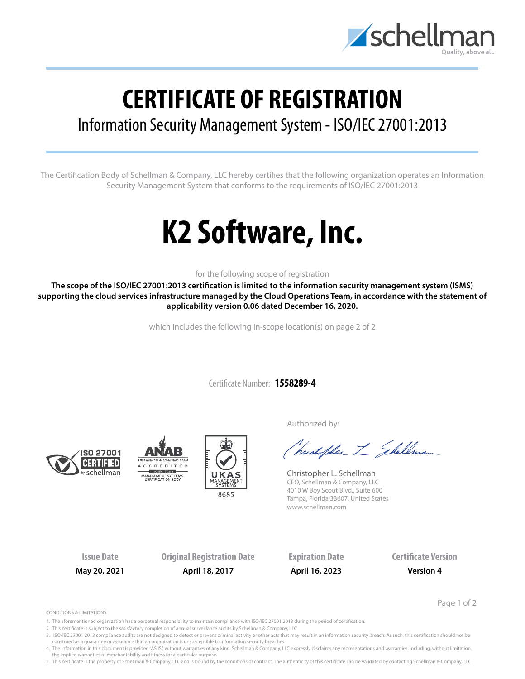

## **CERTIFICATE OF REGISTRATION**

## Information Security Management System - ISO/IEC 27001:2013

The Certification Body of Schellman & Company, LLC hereby certifies that the following organization operates an Information Security Management System that conforms to the requirements of ISO/IEC 27001:2013

# **K2 Software, Inc.**

### for the following scope of registration

**The scope of the ISO/IEC 27001:2013 certification is limited to the information security management system (ISMS) supporting the cloud services infrastructure managed by the Cloud Operations Team, in accordance with the statement of applicability version 0.06 dated December 16, 2020.**

which includes the following in-scope location(s) on page 2 of 2

Certificate Number: **1558289-4**







Authorized by:

Christopher Z Shellman

Christopher L. Schellman CEO, Schellman & Company, LLC 4010 W Boy Scout Blvd., Suite 600 Tampa, Florida 33607, United States www.schellman.com

**Issue Date Original Registration Date Expiration Date Certificate Version May 20, 2021 April 18, 2017 April 16, 2023 Version 4**

Page 1 of 2

CONDITIONS & LIMITATIONS:

- 1. The aforementioned organization has a perpetual responsibility to maintain compliance with ISO/IEC 27001:2013 during the period of certification.
- 2. This certificate is subject to the satisfactory completion of annual surveillance audits by Schellman & Company, LLC
- 3. ISO/IEC 27001:2013 compliance audits are not designed to detect or prevent criminal activity or other acts that may result in an information security breach. As such, this certification should not be construed as a guarantee or assurance that an organization is unsusceptible to information security breaches.
- 4. The information in this document is provided "AS IS", without warranties of any kind. Schellman & Company, LLC expressly disclaims any representations and warranties, including, without limitation, the implied warranties of merchantability and fitness for a particular purpose.

5. This certificate is the property of Schellman & Company, LLC and is bound by the conditions of contract. The authenticity of this certificate can be validated by contacting Schellman & Company, LLC